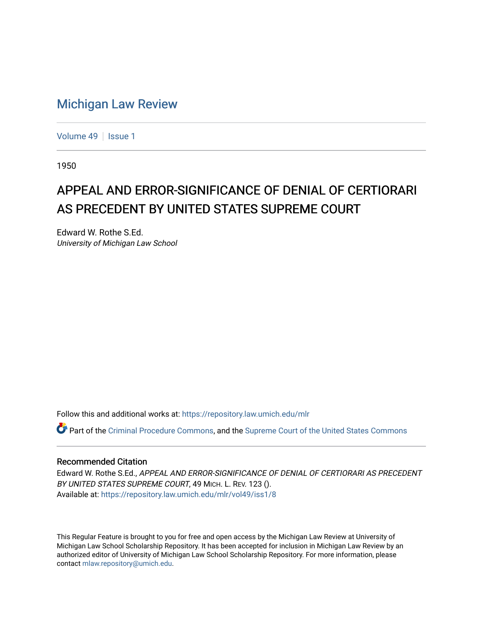## [Michigan Law Review](https://repository.law.umich.edu/mlr)

[Volume 49](https://repository.law.umich.edu/mlr/vol49) | [Issue 1](https://repository.law.umich.edu/mlr/vol49/iss1)

1950

# APPEAL AND ERROR-SIGNIFICANCE OF DENIAL OF CERTIORARI AS PRECEDENT BY UNITED STATES SUPREME COURT

Edward W. Rothe S.Ed. University of Michigan Law School

Follow this and additional works at: [https://repository.law.umich.edu/mlr](https://repository.law.umich.edu/mlr?utm_source=repository.law.umich.edu%2Fmlr%2Fvol49%2Fiss1%2F8&utm_medium=PDF&utm_campaign=PDFCoverPages) 

Part of the [Criminal Procedure Commons,](http://network.bepress.com/hgg/discipline/1073?utm_source=repository.law.umich.edu%2Fmlr%2Fvol49%2Fiss1%2F8&utm_medium=PDF&utm_campaign=PDFCoverPages) and the [Supreme Court of the United States Commons](http://network.bepress.com/hgg/discipline/1350?utm_source=repository.law.umich.edu%2Fmlr%2Fvol49%2Fiss1%2F8&utm_medium=PDF&utm_campaign=PDFCoverPages)

#### Recommended Citation

Edward W. Rothe S.Ed., APPEAL AND ERROR-SIGNIFICANCE OF DENIAL OF CERTIORARI AS PRECEDENT BY UNITED STATES SUPREME COURT, 49 MICH. L. REV. 123 (). Available at: [https://repository.law.umich.edu/mlr/vol49/iss1/8](https://repository.law.umich.edu/mlr/vol49/iss1/8?utm_source=repository.law.umich.edu%2Fmlr%2Fvol49%2Fiss1%2F8&utm_medium=PDF&utm_campaign=PDFCoverPages)

This Regular Feature is brought to you for free and open access by the Michigan Law Review at University of Michigan Law School Scholarship Repository. It has been accepted for inclusion in Michigan Law Review by an authorized editor of University of Michigan Law School Scholarship Repository. For more information, please contact [mlaw.repository@umich.edu](mailto:mlaw.repository@umich.edu).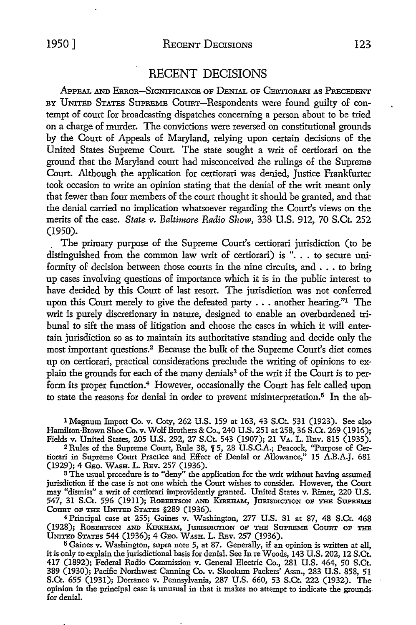### 1950] RECENT DECISIONS 123

#### RECENT DECISIONS

APPEAL AND ERROR-SIGNIFICANCE OF DENIAL OF CERTIORARI AS PRECEDENT BY UNITED STATES SUPREME COURT-Respondents were found guilty of contempt of court for broadcasting dispatches concerning a person about to be tried on a charge of murder. The convictions were reversed on constitutional grounds by the Court of Appeals of Maryland, relying upon certain decisions of the United States Supreme Court. The state sought a writ of certiorari on the ground that the Maryland court had misconceived the rulings of the Supreme Court. Although the application for certiorari was denied, Justice Frankfurter took occasion to write an opinion stating that the denial of the writ meant only that fewer than four members of the court thought it should be granted, and that the denial carried no implication whatsoever regarding the Court's views on the merits of the case. *State v. Baltinwre Radio Show,* 338 U.S. 912, 70 S.Ct. 252 (1950).

. The primary purpose of the Supreme Court's certiorari jurisdiction (to be distinguished from the common law writ of certiorari) is ". . . to secure uniformity of decision between those courts in the nine circuits, and . • . to bring up cases involving questions of importance which it is in the public interest to have decided by this Court of last resort. The jurisdiction was not conferred upon this Court merely to give the defeated party ... another hearing."1 The writ is purely discretionary in nature, designed to enable an overburdened tribunal to sift the mass of litigation and choose the cases in which it will entertain jurisdiction so as to maintain its authoritative standing and decide only the most important questions.<sup>2</sup> Because the bulk of the Supreme Court's diet comes up on certiorari, practical considerations preclude the writing of opinions to explain the grounds for each of the many denials<sup>3</sup> of the writ if the Court is to perform its proper function.<sup>4</sup> However, occasionally the Court has felt called upon to state the reasons for denial in order to prevent misinterpretation.<sup>5</sup> In the ab-

1 Magnum Import Co. v. Coty, 262 U.S. 159 at 163, 43 S.Ct. 531 (1923). See also Hamilton-Brown Shoe Co. v. Wolf Brothers & Co., 240 U.S. 251 at 258, 36 S.Ct. 269 (1916); Fields v. United States, 205 U.S. 292, 27 S.Ct. 543 (1907); 21 VA. L. REv. 815 (1935).

<sup>2</sup> Rules of the Supreme Court, Rule 38, ¶ 5, 28 U.S.C.A.; Peacock, "Purpose of Certiorari in Supreme Court Practice and Effect of Denial or Allowance," 15 A.B.A.J. 681 (1929); 4 GEo. WAsH. L. REv. 257 (1936).

<sup>3</sup>The usual procedure is to "deny" the application for the writ without having assumed jurisdiction if the case is not one which the Court wishes to consider. However, the Court may "dismiss" a writ of certiorari improvidently granted. United States v. Rimer, 220 U.S. 547, 31 S.Ct. 596 (1911); Robertson and Kirkham, Jurisdiction of the Supreme COURT OF THE UNITED STATES §289 (1936).

4 Principal case at 255; Gaines v. Washington, 277 U.S. 81 at 87, 48 S.Ct. 468 (1928); ROBERTSON AND KIRKHAM, JURISDICTION OF THE SUPREME COURT OF THE UNITED STATES 544 (1936); 4 GEo. WAsH. L. REv. 257 (1936).

<sup>5</sup>Gaines v. Washington, supra note 5, at 87. Generally, if an opinion is written at all, itis only to explain the jurisdictional basis for denial. See In re Woods, 143 U.S. 202, 12 S.Ct. 417 (1892); Federal Radio Commission v. General Electric Co., 281 U.S. 464, 50 S.Ct. 389 (1930); Pacific Northwest Canning Co. v. Skookum Packers' Assn., 283 U.S. 858, 51 S.Ct. 655 (1931); Dorrance v. Pennsylvania, 287 U.S. 660, 53 S.Ct. 222 (1932). The opinion in the principal case is unusual in that it makes no attempt to indicate the grounds. for denial.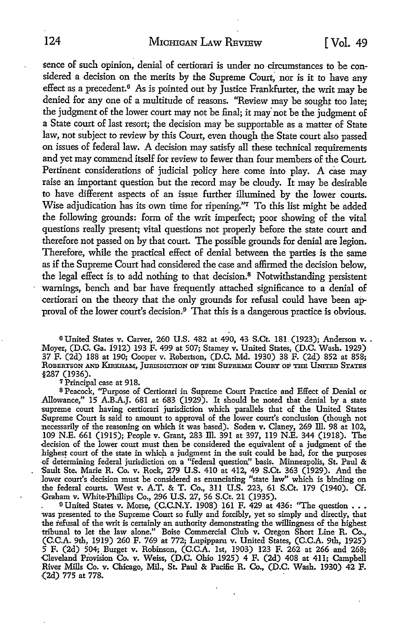sence of such opinion, denial of certiorari is under no circumstances to be considered a decision on the merits by the Supreme Court, nor is it to have any effect as a precedent.<sup>6</sup> As is pointed out by Justice Frankfurter, the writ may be denied for any one of a multitude of reasons. ''Review may be sought too late; the judgment of the lower court may not be final; it may not be the judgment of a State court of last resort; the decision may be supportable as a matter of State law, not subject to review by this Court, even though the State court also passed on issues of federal law. A decision may satisfy all these technical requirements and yet may commend itself for review to fewer than four members of the Court. Pertinent considerations of judicial policy here come into play. A case may raise an important question but the record may be cloudy. It may be desirable *to* have different aspects of an issue further illumined by the lower courts. Wise adjudication has its own time for ripening."<sup>7</sup> To this list might be added the following grounds: form of the writ imperfect; poor showing of the vital questions really present; vital questions not properly before the state court and therefore not passed on by that court. The possible grounds for denial are legion. Therefore, while the practical effect of denial between the parties is the same as if the Supreme Court had considered the case and affirmed the decision below, the legal effect is to add nothing to that decision.<sup>8</sup> Notwithstanding persistent warnings, bench and bar have frequently attached significance to a denial of certiorari on the theory that the only grounds for refusal could have been approval of the lower court's decision.<sup>9</sup> That this is a dangerous practice is obvious.

<sup>6</sup> United States v. Carver, 260 U.S. 482 at 490, 43 S.Ct. 181. (1923); Anderson v. . Moyer, (D.C. Ga. i912) 193 F. 499 at 507; Stamey v. United States, (D.C. Wash. 1929) 37 F. (2d) 188 at 190; Cooper v. Robertson, (D.C. Md. 1930) 38 F. (2d) 852 at 858; ROBERTSON AND KmxHAM, JURISDICTION OP THE SUPREMB COURT OP THE UNITED STATES §287 (1936).

7 Principal case at 918.

<sup>8</sup>Peacock, "Purpose of Certiorari in Supreme Court Practice and Effect of Denial or Allowance,'' 15 A.B.A.J. 681 at 683 (1929). It should be noted that denial by a state supreme court having certiorari jurisdiction which parallels that of the United States Supreme Court is said to amount to approval of the lower court's conclusion (though not necessarily of the reasoning on which it was based). Soden v. Claney, 269 Ill. 98 at 102, 109 N.E. 661 (1915); People v. Grant, 283 III. 391 at 397, 119 N.E. 344 (1918). The -decision of the lower court must then be considered the equivalent of a judgment of the .highest court of the state in which a judgment in the suit could be had, for the purposes -of determining federal jurisdiction on a "federal question" basis. Minneapolis, St. Paul & Sault Ste. Marie R. Co. v. Rock, 279 U.S. 410 at 412, 49 S.Ct. 363 (1929). And the lower court's decision must be considered as enunciating "state law" which is binding on the federal courts. West v. A.T. & T. Co., 311 U.S. 223, 61 S.Ct. 179 (1940). Cf. Graham v. White-Phillips Co., 296 U.S. 27, 56 S.Ct. 21 (1935).<br>9 United States v. Morse, (C.C.N.Y. 1908) 161 F. 429 at 436: "The question ...

was presented to the Supreme Court so fully and forcibly, yet so simply and directly, that the refusal of the writ is certainly an authority demonstrating the willingness of the highest tribunal to let the law alone." Boise Commercial Club v. Oregon Short Line R. Co., (C.C.A. 9th, 1919) 260 F. 769 at 772; Lupipparu v. United States, (C.C.A. 9th, 1925) 5 F. (2d) 504; Burget v. Robinson, (C.C.A. 1st, 1903) 123 F. 262 at 266 and 268; Cleveland Provision Co. v. Weiss, (D.C. Ohio 1925) 4 F. (2d) 408 at 411; Campbell River Mills Co. v. Chicago, Mil., St. Paul & Pacific R. Co., (D.C. Wash. 1930) 42 F. (2d) 775 at 778.